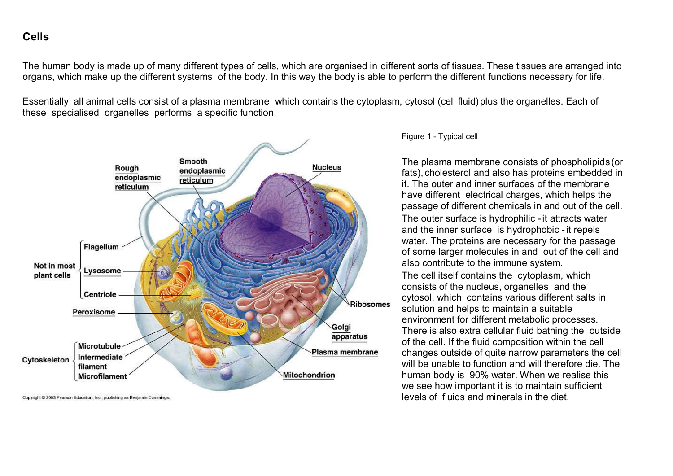# **Cells**

The human body is made up of many different types of cells, which are organised in different sorts of tissues. These tissues are arranged into organs, which make up the different systems of the body. In this way the body is able to perform the different functions necessary for life.

Essentially all animal cells consist of a plasma membrane which contains the cytoplasm, cytosol (cell fluid) plus the organelles. Each of these specialised organelles performs a specific function.



Copyright @ 2003 Pearson Education, Inc., publishing as Benjamin Cummings

Figure 1 - Typical cell

The plasma membrane consists of phospholipids(or fats), cholesterol and also has proteins embedded in it. The outer and inner surfaces of the membrane have different electrical charges, which helps the passage of different chemicals in and out of the cell.

The outer surface is hydrophilic -it attracts water and the inner surface is hydrophobic -it repels water. The proteins are necessary for the passage of some larger molecules in and out of the cell and also contribute to the immune system.

The cell itself contains the cytoplasm, which consists of the nucleus, organelles and the cytosol, which contains various different salts in solution and helps to maintain a suitable environment for different metabolic processes. There is also extra cellular fluid bathing the outside of the cell. If the fluid composition within the cell changes outside of quite narrow parameters the cell will be unable to function and will therefore die. The human body is 90% water. When we realise this we see how important it is to maintain sufficient levels of fluids and minerals in the diet.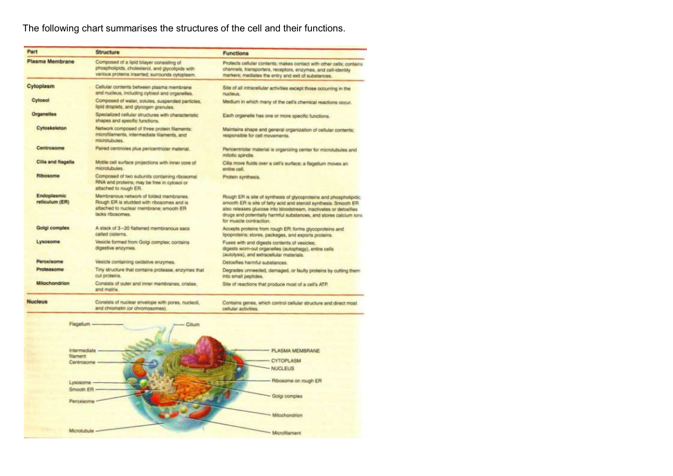# The following chart summarises the structures of the cell and their functions.

| Part                                 | <b>Structure</b>                                                                                                                                    | <b>Functions</b>                                                                                                                                                                                                                                                                                             |
|--------------------------------------|-----------------------------------------------------------------------------------------------------------------------------------------------------|--------------------------------------------------------------------------------------------------------------------------------------------------------------------------------------------------------------------------------------------------------------------------------------------------------------|
| Plasma Membrane                      | Composed of a lipid bilayer consisting of<br>phospholipids, cholesterol, and glycolipids with<br>various proteins inserted; surrounds cytoplasm.    | Protects cellular contents; makes contact with other cells; contains.<br>channels, transporters, receptors, enzymes, and cell-identity<br>markers; mediates the entry and exit of substances.                                                                                                                |
| Cytoplasm                            | Cellular contents between plasma membrane<br>and nucleus, including cytosol and organelies.                                                         | Site of all intracellular activities except those occurring in the<br>nucleus.                                                                                                                                                                                                                               |
| Cytosol                              | Composed of water, solutes, suspended particles,<br>lipid draplets, and glycogen granules.                                                          | Medium in which many of the cell's chemical reactions occur.                                                                                                                                                                                                                                                 |
| Organelles                           | Specialized cellular structures with characteristic<br>shapes and specific functions.                                                               | Each organelle has one or more specific functions.                                                                                                                                                                                                                                                           |
| Cytoskeleton                         | Network composed of three protein filaments:<br>microfilaments, intermediate filaments, and<br>microtubulas.                                        | Maintains shape and general organization of cellular contents;<br>responsible for cell movements.                                                                                                                                                                                                            |
| Centrosome                           | Paired centricies plus pericentriciar material.                                                                                                     | Pericentriolar material is organizing center for microtubules and<br>mitotic spindle.                                                                                                                                                                                                                        |
| Cilia and flogella                   | Motile cell surface projections with inner core of<br>microtubules.                                                                                 | Cilia move fluids over a cell's surface; a flagellum moves an<br>entire cell.                                                                                                                                                                                                                                |
| Ribosome                             | Composed of two subunits containing ribosomal<br>RNA and proteins; may be free in cytosol or<br>attached to rough ER.                               | Protein synthesis.                                                                                                                                                                                                                                                                                           |
| <b>Endoplasmic</b><br>reticulum (ER) | Membranous network of folded membranes.<br>Rough ER is studded with ribosomes and is<br>attached to nuclear membrane; smooth ER<br>lacks ribosomes. | Rough ER is site of synthesis of glycoproteins and phospholipids:<br>smooth ER is site of fatty acid and steroid synthesis. Smooth ER.<br>also releases glucose into bloodstream, inactivates or detoxifies.<br>drugs and potentially harmful substances, and stores calcium ions<br>for muscle contraction. |
| Golgi complex                        | A stack of 3-20 flattened membranous sacs.<br>called cisterns.                                                                                      | Accepts proteins from rough ER; forms glycoproteins and<br>lipoproteins; stores, packages, and exports proteins.                                                                                                                                                                                             |
| Lysosome                             | Vesicle formed from Golgi complex; contains<br>digestive enzymes.                                                                                   | Fuses with and digests contents of vesicles:<br>digests worn-out organelles (autophagy), entire cells<br>(autolysis), and extracellular materials.                                                                                                                                                           |
| Peroxisome                           | Vesicle containing oxidative anzymes.                                                                                                               | Detoxilles harmful substances.                                                                                                                                                                                                                                                                               |
| Proteasome                           | Tiny structure that contains protease, enzymes that<br>cut proteins.                                                                                | Degrades unneeded, damaged, or faulty proteins by cutting them.<br>into small peptides.                                                                                                                                                                                                                      |
| <b>Mitochondrion</b>                 | Consists of outer and inner membranes, cristae,<br>and matrix.                                                                                      | Site of reactions that produce most of a cell's ATP.                                                                                                                                                                                                                                                         |
| Nucleus                              | Consists of nuclear envelope with pores, nucleoil.                                                                                                  | Contains genes, which control cellular structure and direct most                                                                                                                                                                                                                                             |

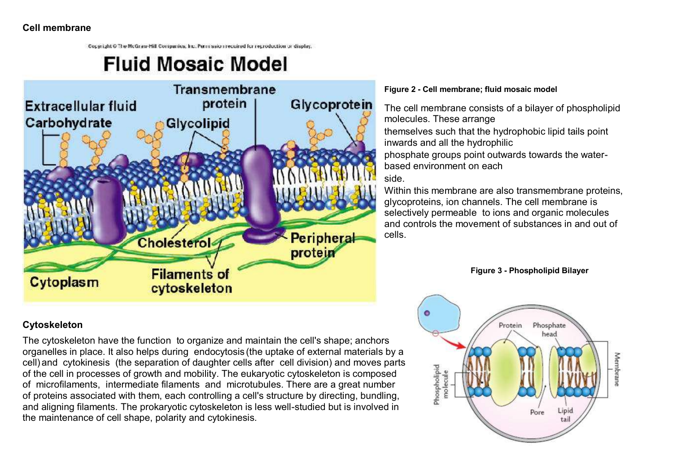Copyright Of the McGraw-Hill Companies, Inc. Permission required for reproduction or display.

# **Fluid Mosaic Model**



#### **Figure 2 - Cell membrane; fluid mosaic model**

The cell membrane consists of a bilayer of phospholipid molecules. These arrange themselves such that the hydrophobic lipid tails point inwards and all the hydrophilic phosphate groups point outwards towards the waterbased environment on each side.

Within this membrane are also transmembrane proteins, glycoproteins, ion channels. The cell membrane is selectively permeable to ions and organic molecules and controls the movement of substances in and out of cells.



#### **Cytoskeleton**

The cytoskeleton have the function to organize and maintain the cell's shape; anchors organelles in place. It also helps during endocytosis (the uptake of external materials by a cell) and cytokinesis (the separation of daughter cells after cell division) and moves parts of the cell in processes of growth and mobility. The eukaryotic cytoskeleton is composed of microfilaments, intermediate filaments and microtubules. There are a great number of proteins associated with them, each controlling a cell's structure by directing, bundling, and aligning filaments. The prokaryotic cytoskeleton is less well-studied but is involved in the maintenance of cell shape, polarity and cytokinesis.

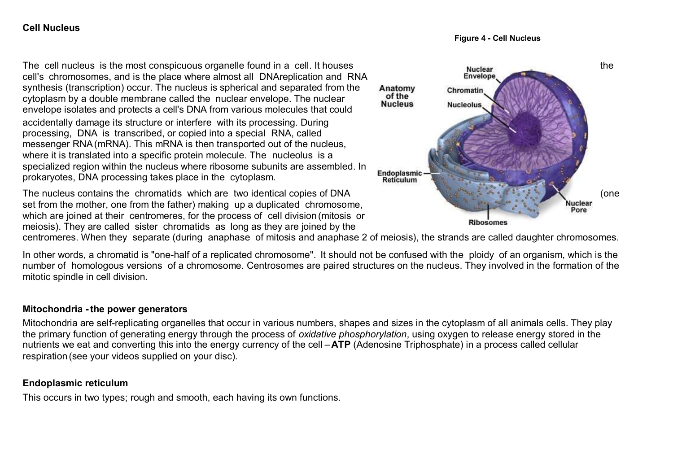#### **Cell Nucleus**

**Figure 4 - Cell Nucleus**

The cell nucleus is the most conspicuous organelle found in a cell. It houses Nuclear Nuclear Nuclear the cell's chromosomes, and is the place where almost all DNAreplication and RNA synthesis (transcription) occur. The nucleus is spherical and separated from the cytoplasm by a double membrane called the nuclear envelope. The nuclear envelope isolates and protects a cell's DNA from various molecules that could accidentally damage its structure or interfere with its processing. During processing, DNA is transcribed, or copied into a special RNA, called messenger RNA(mRNA). This mRNA is then transported out of the nucleus, where it is translated into a specific protein molecule. The nucleolus is a specialized region within the nucleus where ribosome subunits are assembled. In prokaryotes, DNA processing takes place in the cytoplasm.

The nucleus contains the chromatids which are two identical copies of DNA (one set from the mother, one from the father) making up a duplicated chromosome, which are joined at their centromeres, for the process of cell division (mitosis or meiosis). They are called sister chromatids as long as they are joined by the



centromeres. When they separate (during anaphase of mitosis and anaphase 2 of meiosis), the strands are called daughter chromosomes.

In other words, a chromatid is "one-half of a replicated chromosome". It should not be confused with the ploidy of an organism, which is the number of homologous versions of a chromosome. Centrosomes are paired structures on the nucleus. They involved in the formation of the mitotic spindle in cell division.

#### **Mitochondria -the power generators**

Mitochondria are self-replicating organelles that occur in various numbers, shapes and sizes in the cytoplasm of all animals cells. They play the primary function of generating energy through the process of *oxidative phosphorylation*, using oxygen to release energy stored in the nutrients we eat and converting this into the energy currency of the cell –**ATP** (Adenosine Triphosphate) in a process called cellular respiration (see your videos supplied on your disc).

#### **Endoplasmic reticulum**

This occurs in two types; rough and smooth, each having its own functions.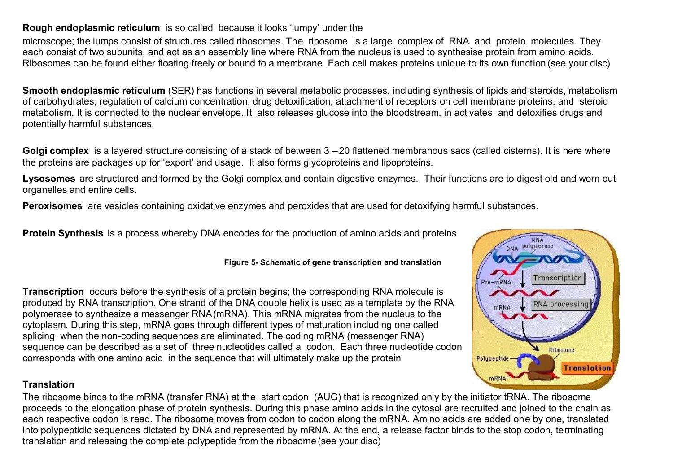#### **Rough endoplasmic reticulum** is so called because it looks 'lumpy' under the

microscope; the lumps consist of structures called ribosomes. The ribosome is a large complex of RNA and protein molecules. They each consist of two subunits, and act as an assembly line where RNA from the nucleus is used to synthesise protein from amino acids. Ribosomes can be found either floating freely or bound to a membrane. Each cell makes proteins unique to its own function (see your disc)

**Smooth endoplasmic reticulum** (SER) has functions in several metabolic processes, including synthesis of lipids and steroids, metabolism of carbohydrates, regulation of calcium concentration, drug detoxification, attachment of receptors on cell membrane proteins, and steroid metabolism. It is connected to the nuclear envelope. It also releases glucose into the bloodstream, in activates and detoxifies drugs and potentially harmful substances.

**Golgi complex** is a layered structure consisting of a stack of between 3 – 20 flattened membranous sacs (called cisterns). It is here where the proteins are packages up for 'export' and usage. It also forms glycoproteins and lipoproteins.

Lysosomes are structured and formed by the Golgi complex and contain digestive enzymes. Their functions are to digest old and worn out organelles and entire cells.

**Peroxisomes** are vesicles containing oxidative enzymes and peroxides that are used for detoxifying harmful substances.

**Protein Synthesis** is a process whereby DNA encodes for the production of amino acids and proteins.

#### **Figure 5- Schematic of gene transcription and translation**

**Transcription** occurs before the synthesis of a protein begins; the corresponding RNA molecule is produced by RNA transcription. One strand of the DNA double helix is used as a template by the RNA polymerase to synthesize a messenger RNA(mRNA). This mRNA migrates from the nucleus to the cytoplasm. During this step, mRNA goes through different types of maturation including one called splicing when the non-coding sequences are eliminated. The coding mRNA (messenger RNA) sequence can be described as a set of three nucleotides called a codon. Each three nucleotide codon corresponds with one amino acid in the sequence that will ultimately make up the protein

#### **Translation**

The ribosome binds to the mRNA (transfer RNA) at the start codon (AUG) that is recognized only by the initiator tRNA. The ribosome proceeds to the elongation phase of protein synthesis. During this phase amino acids in the cytosol are recruited and joined to the chain as each respective codon is read. The ribosome moves from codon to codon along the mRNA. Amino acids are added one by one, translated into polypeptidic sequences dictated by DNA and represented by mRNA. At the end, a release factor binds to the stop codon, terminating translation and releasing the complete polypeptide from the ribosome (see your disc)

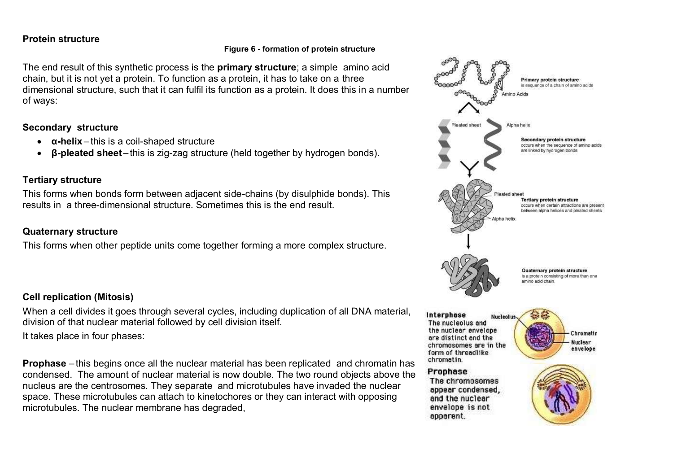#### **Protein structure**

#### **Figure 6 - formation of protein structure**

The end result of this synthetic process is the **primary structure**; a simple amino acid chain, but it is not yet a protein. To function as a protein, it has to take on a three dimensional structure, such that it can fulfil its function as a protein. It does this in a number of ways:

#### **Secondary structure**

- **α-helix** this is a coil-shaped structure
- **β-pleated sheet** this is zig-zag structure (held together by hydrogen bonds).

#### **Tertiary structure**

This forms when bonds form between adjacent side-chains (by disulphide bonds). This results in a three-dimensional structure. Sometimes this is the end result.

#### **Quaternary structure**

This forms when other peptide units come together forming a more complex structure.

# **Cell replication (Mitosis)**

When a cell divides it goes through several cycles, including duplication of all DNA material. division of that nuclear material followed by cell division itself.

It takes place in four phases:

**Prophase** – this begins once all the nuclear material has been replicated and chromatin has condensed. The amount of nuclear material is now double. The two round objects above the nucleus are the centrosomes. They separate and microtubules have invaded the nuclear space. These microtubules can attach to kinetochores or they can interact with opposing microtubules. The nuclear membrane has degraded,

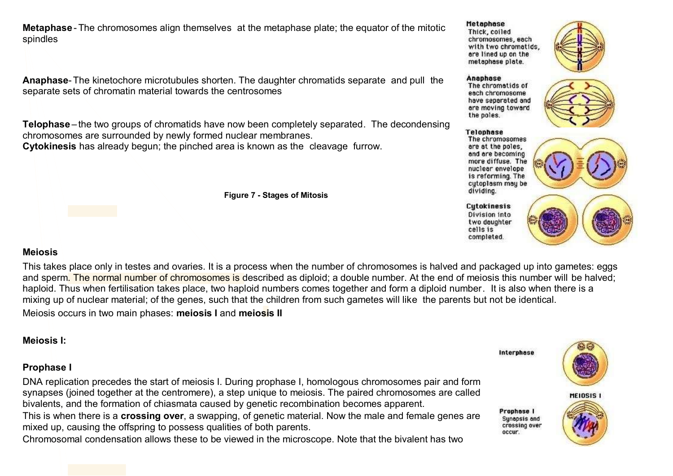**Metaphase** -The chromosomes align themselves at the metaphase plate; the equator of the mitotic spindles

**Anaphase**-The kinetochore microtubules shorten. The daughter chromatids separate and pull the separate sets of chromatin material towards the centrosomes

**Telophase** – the two groups of chromatids have now been completely separated. The decondensing chromosomes are surrounded by newly formed nuclear membranes. **Cytokinesis** has already begun; the pinched area is known as the cleavage furrow.

**Figure 7 - Stages of Mitosis**

#### **Metaphase**

Thick, coiled chromosomes, each with two chromatids. are lined up on the metaphase plate.



#### Anaphase

The chromatids of each chromosome have separated and are moving toward the poles.



#### **Telophase**

The chromosomes are at the poles, and are becoming more diffuse. The nuclear envelope is reforming. The cytoplasm may be dividing.

**Cytokinesis** Division into two daughter cells is completed.



# **Meiosis**

This takes place only in testes and ovaries. It is a process when the number of chromosomes is halved and packaged up into gametes: eggs and sperm. The normal number of chromosomes is described as diploid; a double number. At the end of meiosis this number will be halved; haploid. Thus when fertilisation takes place, two haploid numbers comes together and form a diploid number. It is also when there is a mixing up of nuclear material; of the genes, such that the children from such gametes will like the parents but not be identical. Meiosis occurs in two main phases: **meiosis I** and **meiosis II**

# **Meiosis I:**

#### **Prophase I**

DNA replication precedes the start of meiosis I. During prophase I, homologous chromosomes pair and form synapses (joined together at the centromere), a step unique to meiosis. The paired chromosomes are called bivalents, and the formation of chiasmata caused by genetic recombination becomes apparent.

This is when there is a **crossing over**, a swapping, of genetic material. Now the male and female genes are mixed up, causing the offspring to possess qualities of both parents.

Chromosomal condensation allows these to be viewed in the microscope. Note that the bivalent has two

Interphase



Prophase I Synapsis and crossing over occur.

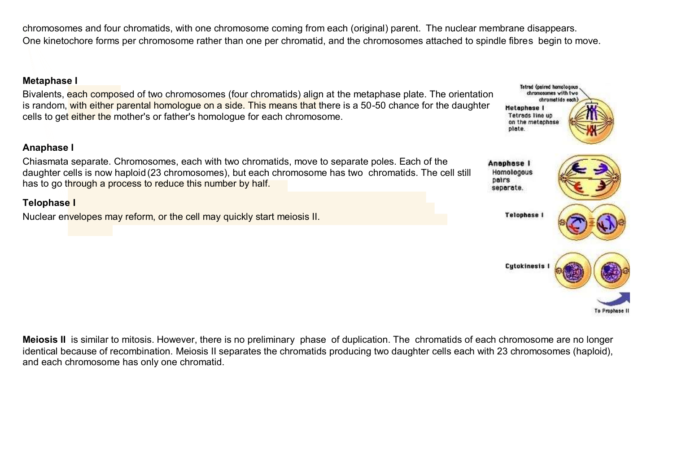chromosomes and four chromatids, with one chromosome coming from each (original) parent. The nuclear membrane disappears. One kinetochore forms per chromosome rather than one per chromatid, and the chromosomes attached to spindle fibres begin to move.

#### **Metaphase I**

Bivalents, each composed of two chromosomes (four chromatids) align at the metaphase plate. The orientation is random, with either parental homologue on a side. This means that there is a 50-50 chance for the daughter cells to get either the mother's or father's homologue for each chromosome.

#### **Anaphase I**

Chiasmata separate. Chromosomes, each with two chromatids, move to separate poles. Each of the daughter cells is now haploid (23 chromosomes), but each chromosome has two chromatids. The cell still has to go through a process to reduce this number by half.

# **Telophase I**

Nuclear envelopes may reform, or the cell may quickly start meiosis II.



**Tetrad (paired homologous** chromosomes with two

**Meiosis II** is similar to mitosis. However, there is no preliminary phase of duplication. The chromatids of each chromosome are no longer identical because of recombination. Meiosis II separates the chromatids producing two daughter cells each with 23 chromosomes (haploid), and each chromosome has only one chromatid.